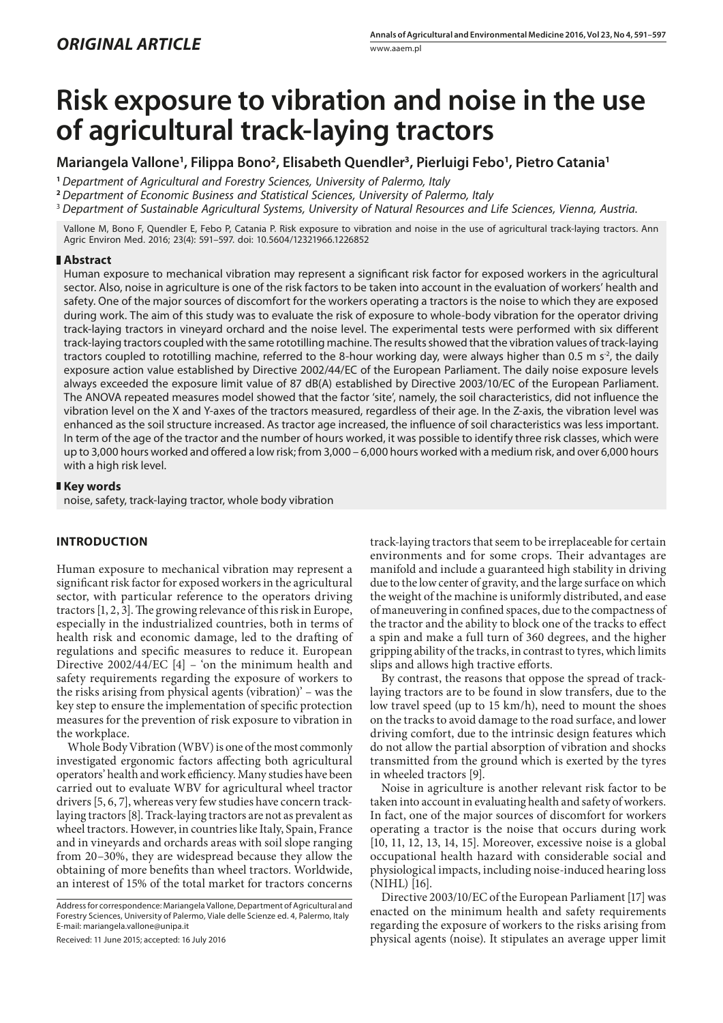# **Risk exposure to vibration and noise in the use of agricultural track-laying tractors**

**Mariangela Vallone<sup>1</sup> , Filippa Bono2, Elisabeth Quendler3, Pierluigi Febo<sup>1</sup> , Pietro Catania<sup>1</sup>**

**<sup>1</sup>** *Department of Agricultural and Forestry Sciences, University of Palermo, Italy*

**<sup>2</sup>** *Department of Economic Business and Statistical Sciences, University of Palermo, Italy*

<sup>3</sup> *Department of Sustainable Agricultural Systems, University of Natural Resources and Life Sciences, Vienna, Austria.*

Vallone M, Bono F, Quendler E, Febo P, Catania P. Risk exposure to vibration and noise in the use of agricultural track-laying tractors. Ann Agric Environ Med. 2016; 23(4): 591–597. doi: 10.5604/12321966.1226852

# **Abstract**

Human exposure to mechanical vibration may represent a significant risk factor for exposed workers in the agricultural sector. Also, noise in agriculture is one of the risk factors to be taken into account in the evaluation of workers' health and safety. One of the major sources of discomfort for the workers operating a tractors is the noise to which they are exposed during work. The aim of this study was to evaluate the risk of exposure to whole-body vibration for the operator driving track-laying tractors in vineyard orchard and the noise level. The experimental tests were performed with six different track-laying tractors coupled with the same rototilling machine. The results showed that the vibration values of track-laying tractors coupled to rototilling machine, referred to the 8-hour working day, were always higher than 0.5 m  $s^2$ , the daily exposure action value established by Directive 2002/44/EC of the European Parliament. The daily noise exposure levels always exceeded the exposure limit value of 87 dB(A) established by Directive 2003/10/EC of the European Parliament. The ANOVA repeated measures model showed that the factor 'site', namely, the soil characteristics, did not influence the vibration level on the X and Y-axes of the tractors measured, regardless of their age. In the Z-axis, the vibration level was enhanced as the soil structure increased. As tractor age increased, the influence of soil characteristics was less important. In term of the age of the tractor and the number of hours worked, it was possible to identify three risk classes, which were up to 3,000 hours worked and offered a low risk; from 3,000 – 6,000 hours worked with a medium risk, and over 6,000 hours with a high risk level.

### **Key words**

noise, safety, track-laying tractor, whole body vibration

# **INTRODUCTION**

Human exposure to mechanical vibration may represent a significant risk factor for exposed workers in the agricultural sector, with particular reference to the operators driving tractors [1, 2, 3]. The growing relevance of this risk in Europe, especially in the industrialized countries, both in terms of health risk and economic damage, led to the drafting of regulations and specific measures to reduce it. European Directive 2002/44/EC [4] – 'on the minimum health and safety requirements regarding the exposure of workers to the risks arising from physical agents (vibration)' – was the key step to ensure the implementation of specific protection measures for the prevention of risk exposure to vibration in the workplace.

Whole Body Vibration (WBV) is one of the most commonly investigated ergonomic factors affecting both agricultural operators' health and work efficiency. Many studies have been carried out to evaluate WBV for agricultural wheel tractor drivers [5, 6, 7], whereas very few studies have concern tracklaying tractors [8]. Track-laying tractors are not as prevalent as wheel tractors. However, in countries like Italy, Spain, France and in vineyards and orchards areas with soil slope ranging from 20–30%, they are widespread because they allow the obtaining of more benefits than wheel tractors. Worldwide, an interest of 15% of the total market for tractors concerns

Address for correspondence: Mariangela Vallone, Department of Agricultural and Forestry Sciences, University of Palermo, Viale delle Scienze ed. 4, Palermo, Italy E-mail: mariangela.vallone@unipa.it

Received: 11 June 2015; accepted: 16 July 2016

track-laying tractors that seem to be irreplaceable for certain environments and for some crops. Their advantages are manifold and include a guaranteed high stability in driving due to the low center of gravity, and the large surface on which the weight of the machine is uniformly distributed, and ease of maneuvering in confined spaces, due to the compactness of the tractor and the ability to block one of the tracks to effect a spin and make a full turn of 360 degrees, and the higher gripping ability of the tracks, in contrast to tyres, which limits slips and allows high tractive efforts.

By contrast, the reasons that oppose the spread of tracklaying tractors are to be found in slow transfers, due to the low travel speed (up to 15 km/h), need to mount the shoes on the tracks to avoid damage to the road surface, and lower driving comfort, due to the intrinsic design features which do not allow the partial absorption of vibration and shocks transmitted from the ground which is exerted by the tyres in wheeled tractors [9].

Noise in agriculture is another relevant risk factor to be taken into account in evaluating health and safety of workers. In fact, one of the major sources of discomfort for workers operating a tractor is the noise that occurs during work [10, 11, 12, 13, 14, 15]. Moreover, excessive noise is a global occupational health hazard with considerable social and physiological impacts, including noise-induced hearing loss (NIHL) [16].

Directive 2003/10/EC of the European Parliament [17] was enacted on the minimum health and safety requirements regarding the exposure of workers to the risks arising from physical agents (noise). It stipulates an average upper limit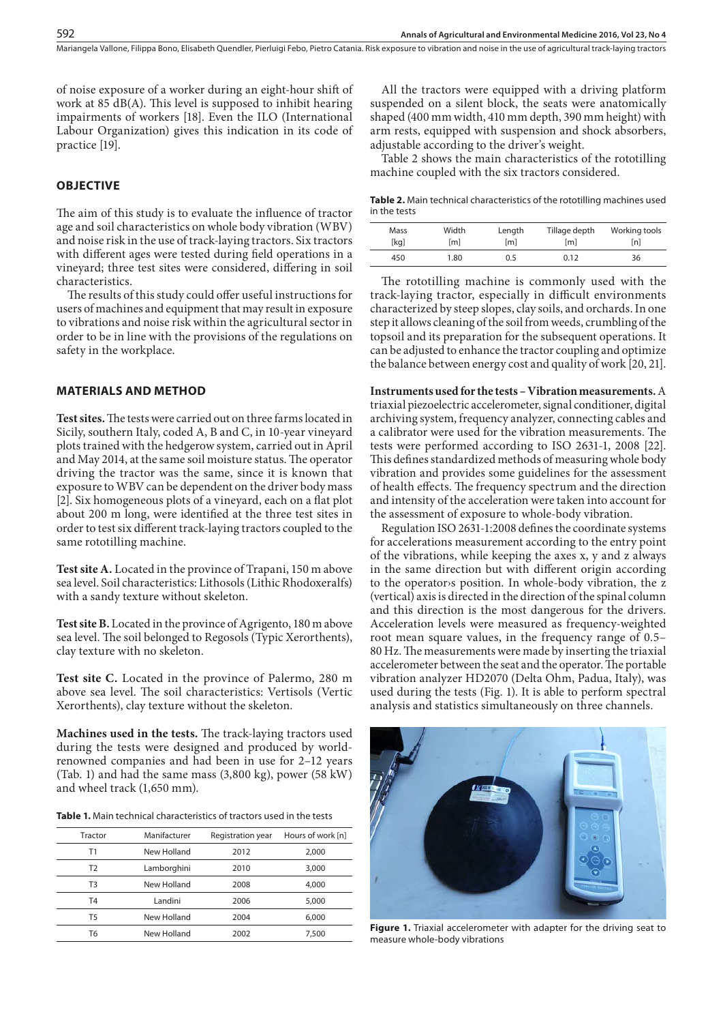Mariangela Vallone, Filippa Bono, Elisabeth Quendler, Pierluigi Febo, Pietro Catania . Risk exposure to vibration and noise in the use of agricultural track-laying tractors

of noise exposure of a worker during an eight-hour shift of work at 85 dB(A). This level is supposed to inhibit hearing impairments of workers [18]. Even the ILO (International Labour Organization) gives this indication in its code of practice [19].

# **OBJECTIVE**

The aim of this study is to evaluate the influence of tractor age and soil characteristics on whole body vibration (WBV) and noise risk in the use of track-laying tractors. Six tractors with different ages were tested during field operations in a vineyard; three test sites were considered, differing in soil characteristics.

The results of this study could offer useful instructions for users of machines and equipment that may result in exposure to vibrations and noise risk within the agricultural sector in order to be in line with the provisions of the regulations on safety in the workplace.

#### **MATERIALS AND METHOD**

**Test sites.** The tests were carried out on three farms located in Sicily, southern Italy, coded A, B and C, in 10-year vineyard plots trained with the hedgerow system, carried out in April and May 2014, at the same soil moisture status. The operator driving the tractor was the same, since it is known that exposure to WBV can be dependent on the driver body mass [2]. Six homogeneous plots of a vineyard, each on a flat plot about 200 m long, were identified at the three test sites in order to test six different track-laying tractors coupled to the same rototilling machine.

**Test site A.** Located in the province of Trapani, 150 m above sea level. Soil characteristics: Lithosols (Lithic Rhodoxeralfs) with a sandy texture without skeleton.

**Test site B.** Located in the province of Agrigento, 180 m above sea level. The soil belonged to Regosols (Typic Xerorthents), clay texture with no skeleton.

**Test site C.** Located in the province of Palermo, 280 m above sea level. The soil characteristics: Vertisols (Vertic Xerorthents), clay texture without the skeleton.

**Machines used in the tests.** The track-laying tractors used during the tests were designed and produced by worldrenowned companies and had been in use for 2–12 years (Tab. 1) and had the same mass (3,800 kg), power (58 kW) and wheel track (1,650 mm).

**Table 1.** Main technical characteristics of tractors used in the tests

| Tractor        | Manifacturer | Registration year | Hours of work [n] |
|----------------|--------------|-------------------|-------------------|
| Τ1             | New Holland  | 2012              | 2,000             |
| T <sub>2</sub> | Lamborghini  | 2010              | 3,000             |
| T3             | New Holland  | 2008              | 4.000             |
| T4             | Landini      | 2006              | 5,000             |
| Τ5             | New Holland  | 2004              | 6.000             |
| Т6             | New Holland  | 2002              | 7.500             |

All the tractors were equipped with a driving platform suspended on a silent block, the seats were anatomically shaped (400 mm width, 410 mm depth, 390 mm height) with arm rests, equipped with suspension and shock absorbers, adjustable according to the driver's weight.

Table 2 shows the main characteristics of the rototilling machine coupled with the six tractors considered.

**Table 2.** Main technical characteristics of the rototilling machines used in the tests

| Mass | Width            | Length | Tillage depth | Working tools |
|------|------------------|--------|---------------|---------------|
| [kg] | [ <sub>m</sub> ] | [m]    | [m]           | [n]           |
| 450  | 1.80             | 0.5    | 0.12          | 36            |

The rototilling machine is commonly used with the track-laying tractor, especially in difficult environments characterized by steep slopes, clay soils, and orchards. In one step it allows cleaning of the soil from weeds, crumbling of the topsoil and its preparation for the subsequent operations. It can be adjusted to enhance the tractor coupling and optimize the balance between energy cost and quality of work [20, 21].

**Instruments used for the tests – Vibration measurements.** A triaxial piezoelectric accelerometer, signal conditioner, digital archiving system, frequency analyzer, connecting cables and a calibrator were used for the vibration measurements. The tests were performed according to ISO 2631-1, 2008 [22]. This defines standardized methods of measuring whole body vibration and provides some guidelines for the assessment of health effects. The frequency spectrum and the direction and intensity of the acceleration were taken into account for the assessment of exposure to whole-body vibration.

Regulation ISO 2631-1:2008 defines the coordinate systems for accelerations measurement according to the entry point of the vibrations, while keeping the axes x, y and z always in the same direction but with different origin according to the operator›s position. In whole-body vibration, the z (vertical) axis is directed in the direction of the spinal column and this direction is the most dangerous for the drivers. Acceleration levels were measured as frequency-weighted root mean square values, in the frequency range of 0.5– 80 Hz. The measurements were made by inserting the triaxial accelerometer between the seat and the operator. The portable vibration analyzer HD2070 (Delta Ohm, Padua, Italy), was used during the tests (Fig. 1). It is able to perform spectral analysis and statistics simultaneously on three channels.



**Figure 1.** Triaxial accelerometer with adapter for the driving seat to measure whole-body vibrations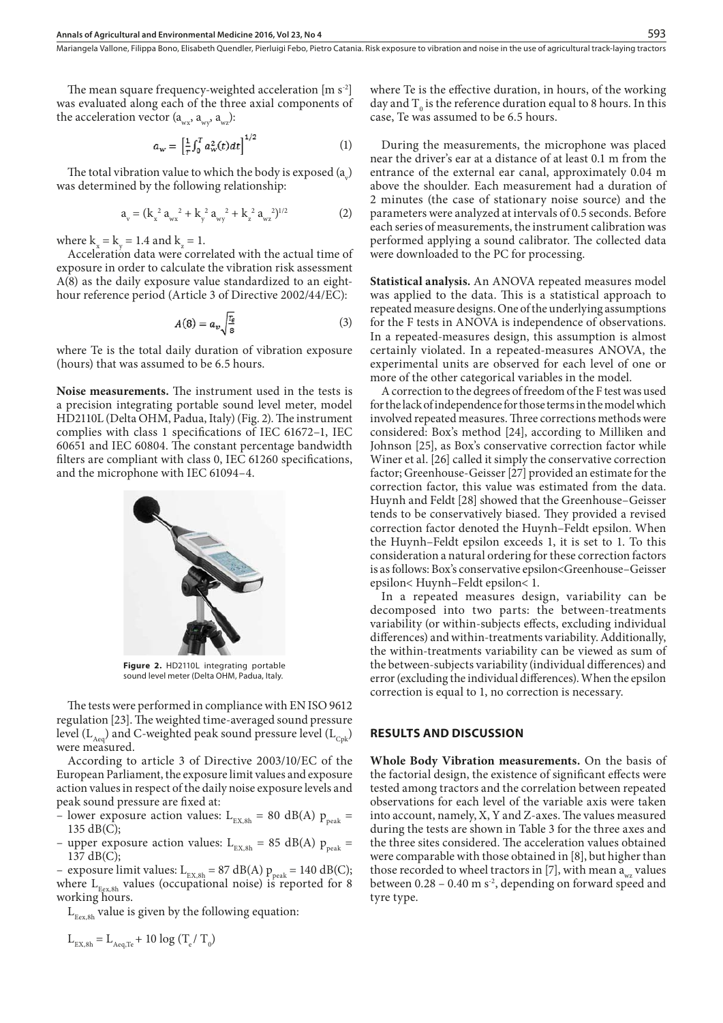The mean square frequency-weighted acceleration [m s<sup>-2</sup>] was evaluated along each of the three axial components of the acceleration vector  $(a_{wx}, a_{wy}, a_{wz})$ :

$$
a_w = \left[\frac{1}{T} \int_0^T a_w^2(t) dt\right]^{1/2} \tag{1}
$$

The total vibration value to which the body is exposed  $(a_y)$ was determined by the following relationship:

$$
a_{v} = (k_{x}^{2} a_{wx}^{2} + k_{y}^{2} a_{wy}^{2} + k_{z}^{2} a_{wz}^{2})^{1/2}
$$
 (2)

where  $k_x = k_y = 1.4$  and  $k_z = 1$ .

Acceleration data were correlated with the actual time of exposure in order to calculate the vibration risk assessment A(8) as the daily exposure value standardized to an eighthour reference period (Article 3 of Directive 2002/44/EC):

$$
A(8) = a_v \sqrt{\frac{r_e}{8}} \tag{3}
$$

where Te is the total daily duration of vibration exposure (hours) that was assumed to be 6.5 hours.

**Noise measurements.** The instrument used in the tests is a precision integrating portable sound level meter, model HD2110L (Delta OHM, Padua, Italy) (Fig. 2). The instrument complies with class 1 specifications of IEC 61672–1, IEC 60651 and IEC 60804. The constant percentage bandwidth filters are compliant with class 0, IEC 61260 specifications, and the microphone with IEC 61094–4.



**Figure 2.** HD2110L integrating portable sound level meter (Delta OHM, Padua, Italy.

The tests were performed in compliance with EN ISO 9612 regulation [23]. The weighted time-averaged sound pressure level ( $L_{\text{Aeg}}$ ) and C-weighted peak sound pressure level ( $L_{\text{Cok}}$ ) were measured.

According to article 3 of Directive 2003/10/EC of the European Parliament, the exposure limit values and exposure action values in respect of the daily noise exposure levels and peak sound pressure are fixed at:

- lower exposure action values:  $L_{\text{EX.8h}} = 80 \text{ dB(A) } p_{\text{peak}} =$ 135 dB(C);
- upper exposure action values:  $L_{EX,8h} = 85$  dB(A)  $p_{peak} =$ 137 dB(C);

– exposure limit values:  $L_{EX,8h} = 87 \text{ dB(A)} \text{ p}_{peak} = 140 \text{ dB(C)}$ ; where  $L_{Eex,8h}$  values (occupational noise) is reported for 8 working hours.

 $L_{Eex,8h}$  value is given by the following equation:

$$
L_{\text{EX,8h}} = L_{\text{Aeq,Te}} + 10 \log (T_e / T_o)
$$

where Te is the effective duration, in hours, of the working day and  $T_0$  is the reference duration equal to 8 hours. In this case, Te was assumed to be 6.5 hours.

During the measurements, the microphone was placed near the driver's ear at a distance of at least 0.1 m from the entrance of the external ear canal, approximately 0.04 m above the shoulder. Each measurement had a duration of 2 minutes (the case of stationary noise source) and the parameters were analyzed at intervals of 0.5 seconds. Before each series of measurements, the instrument calibration was performed applying a sound calibrator. The collected data were downloaded to the PC for processing.

**Statistical analysis.** An ANOVA repeated measures model was applied to the data. This is a statistical approach to repeated measure designs. One of the underlying assumptions for the F tests in ANOVA is independence of observations. In a repeated-measures design, this assumption is almost certainly violated. In a repeated-measures ANOVA, the experimental units are observed for each level of one or more of the other categorical variables in the model.

A correction to the degrees of freedom of the F test was used for the lack of independence for those terms in the model which involved repeated measures. Three corrections methods were considered: Box's method [24], according to Milliken and Johnson [25], as Box's conservative correction factor while Winer et al. [26] called it simply the conservative correction factor; Greenhouse-Geisser [27] provided an estimate for the correction factor, this value was estimated from the data. Huynh and Feldt [28] showed that the Greenhouse–Geisser tends to be conservatively biased. They provided a revised correction factor denoted the Huynh–Feldt epsilon. When the Huynh–Feldt epsilon exceeds 1, it is set to 1. To this consideration a natural ordering for these correction factors is as follows: Box's conservative epsilon<Greenhouse–Geisser epsilon< Huynh–Feldt epsilon< 1.

In a repeated measures design, variability can be decomposed into two parts: the between-treatments variability (or within-subjects effects, excluding individual differences) and within-treatments variability. Additionally, the within-treatments variability can be viewed as sum of the between-subjects variability (individual differences) and error (excluding the individual differences). When the epsilon correction is equal to 1, no correction is necessary.

#### **RESULTS AND DISCUSSION**

**Whole Body Vibration measurements.** On the basis of the factorial design, the existence of significant effects were tested among tractors and the correlation between repeated observations for each level of the variable axis were taken into account, namely, X, Y and Z-axes. The values measured during the tests are shown in Table 3 for the three axes and the three sites considered. The acceleration values obtained were comparable with those obtained in [8], but higher than those recorded to wheel tractors in [7], with mean  $a_{\text{wz}}$  values between  $0.28 - 0.40$  m s<sup>2</sup>, depending on forward speed and tyre type.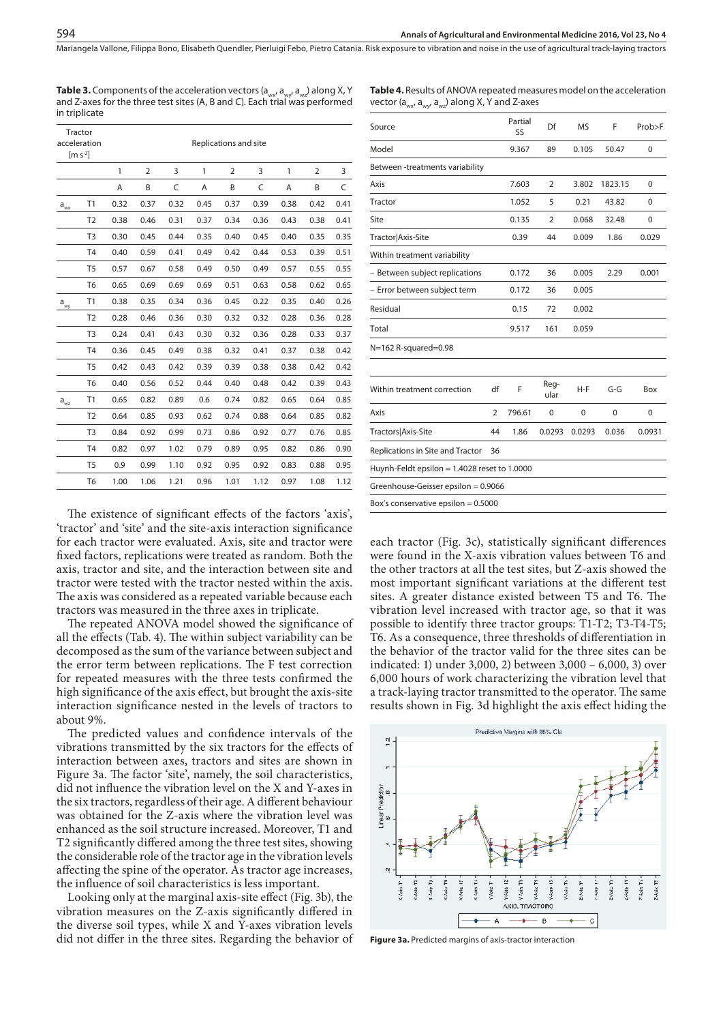Mariangela Vallone, Filippa Bono, Elisabeth Quendler, Pierluigi Febo, Pietro Catania . Risk exposure to vibration and noise in the use of agricultural track-laying tractors

**Table 3.** Components of the acceleration vectors (a<sub>wx</sub>, a<sub>wx</sub>, a<sub>wz</sub>) along X, Y and Z-axes for the three test sites (A, B and C). Each trial was performed in triplicate

|                            | Tractor<br>acceleration                |                       |                |      |      |                |      |      |                |      |  |
|----------------------------|----------------------------------------|-----------------------|----------------|------|------|----------------|------|------|----------------|------|--|
|                            | $\left[\text{m } \text{s}^{-2}\right]$ | Replications and site |                |      |      |                |      |      |                |      |  |
|                            |                                        | 1                     | $\overline{2}$ | 3    | 1    | $\overline{2}$ | 3    | 1    | $\overline{2}$ | 3    |  |
|                            |                                        | A                     | B              | C    | A    | B              | C    | A    | B              | C    |  |
| $\mathsf{a}_{\mathsf{wx}}$ | T1                                     | 0.32                  | 0.37           | 0.32 | 0.45 | 0.37           | 0.39 | 0.38 | 0.42           | 0.41 |  |
|                            | T <sub>2</sub>                         | 0.38                  | 0.46           | 0.31 | 0.37 | 0.34           | 0.36 | 0.43 | 0.38           | 0.41 |  |
|                            | T <sub>3</sub>                         | 0.30                  | 0.45           | 0.44 | 0.35 | 0.40           | 0.45 | 0.40 | 0.35           | 0.35 |  |
|                            | T <sub>4</sub>                         | 0.40                  | 0.59           | 0.41 | 0.49 | 0.42           | 0.44 | 0.53 | 0.39           | 0.51 |  |
|                            | T <sub>5</sub>                         | 0.57                  | 0.67           | 0.58 | 0.49 | 0.50           | 0.49 | 0.57 | 0.55           | 0.55 |  |
|                            | T <sub>6</sub>                         | 0.65                  | 0.69           | 0.69 | 0.69 | 0.51           | 0.63 | 0.58 | 0.62           | 0.65 |  |
| $\mathsf{a}_{\mathsf{wy}}$ | T1                                     | 0.38                  | 0.35           | 0.34 | 0.36 | 0.45           | 0.22 | 0.35 | 0.40           | 0.26 |  |
|                            | T <sub>2</sub>                         | 0.28                  | 0.46           | 0.36 | 0.30 | 0.32           | 0.32 | 0.28 | 0.36           | 0.28 |  |
|                            | T <sub>3</sub>                         | 0.24                  | 0.41           | 0.43 | 0.30 | 0.32           | 0.36 | 0.28 | 0.33           | 0.37 |  |
|                            | T <sub>4</sub>                         | 0.36                  | 0.45           | 0.49 | 0.38 | 0.32           | 0.41 | 0.37 | 0.38           | 0.42 |  |
|                            | T <sub>5</sub>                         | 0.42                  | 0.43           | 0.42 | 0.39 | 0.39           | 0.38 | 0.38 | 0.42           | 0.42 |  |
|                            | T <sub>6</sub>                         | 0.40                  | 0.56           | 0.52 | 0.44 | 0.40           | 0.48 | 0.42 | 0.39           | 0.43 |  |
| $a_{wz}$                   | T1                                     | 0.65                  | 0.82           | 0.89 | 0.6  | 0.74           | 0.82 | 0.65 | 0.64           | 0.85 |  |
|                            | T <sub>2</sub>                         | 0.64                  | 0.85           | 0.93 | 0.62 | 0.74           | 0.88 | 0.64 | 0.85           | 0.82 |  |
|                            | T <sub>3</sub>                         | 0.84                  | 0.92           | 0.99 | 0.73 | 0.86           | 0.92 | 0.77 | 0.76           | 0.85 |  |
|                            | T <sub>4</sub>                         | 0.82                  | 0.97           | 1.02 | 0.79 | 0.89           | 0.95 | 0.82 | 0.86           | 0.90 |  |
|                            | T <sub>5</sub>                         | 0.9                   | 0.99           | 1.10 | 0.92 | 0.95           | 0.92 | 0.83 | 0.88           | 0.95 |  |
|                            | T <sub>6</sub>                         | 1.00                  | 1.06           | 1.21 | 0.96 | 1.01           | 1.12 | 0.97 | 1.08           | 1.12 |  |

The existence of significant effects of the factors 'axis', 'tractor' and 'site' and the site-axis interaction significance for each tractor were evaluated. Axis, site and tractor were fixed factors, replications were treated as random. Both the axis, tractor and site, and the interaction between site and tractor were tested with the tractor nested within the axis. The axis was considered as a repeated variable because each tractors was measured in the three axes in triplicate.

The repeated ANOVA model showed the significance of all the effects (Tab. 4). The within subject variability can be decomposed as the sum of the variance between subject and the error term between replications. The F test correction for repeated measures with the three tests confirmed the high significance of the axis effect, but brought the axis-site interaction significance nested in the levels of tractors to about 9%.

The predicted values and confidence intervals of the vibrations transmitted by the six tractors for the effects of interaction between axes, tractors and sites are shown in Figure 3a. The factor 'site', namely, the soil characteristics, did not influence the vibration level on the X and Y-axes in the six tractors, regardless of their age. A different behaviour was obtained for the Z-axis where the vibration level was enhanced as the soil structure increased. Moreover, T1 and T2 significantly differed among the three test sites, showing the considerable role of the tractor age in the vibration levels affecting the spine of the operator. As tractor age increases, the influence of soil characteristics is less important.

Looking only at the marginal axis-site effect (Fig. 3b), the vibration measures on the Z-axis significantly differed in the diverse soil types, while X and Y-axes vibration levels did not differ in the three sites. Regarding the behavior of

| Source                                       |                | Partial<br>SS | Df             | <b>MS</b>   | F       | Prob>F |
|----------------------------------------------|----------------|---------------|----------------|-------------|---------|--------|
| Model                                        |                | 9.367         | 89             | 0.105       | 50.47   | 0      |
| Between -treatments variability              |                |               |                |             |         |        |
| Axis                                         |                | 7.603         | 2              | 3.802       | 1823.15 | 0      |
| Tractor                                      |                | 1.052         | 5              | 0.21        | 43.82   | 0      |
| Site                                         |                | 0.135         | $\overline{2}$ | 0.068       | 32.48   | 0      |
| Tractor Axis-Site                            |                | 0.39          | 44             | 0.009       | 1.86    | 0.029  |
| Within treatment variability                 |                |               |                |             |         |        |
| - Between subject replications               |                | 0.172         | 36             | 0.005       | 2.29    | 0.001  |
| - Error between subject term                 |                | 0.172         | 36             | 0.005       |         |        |
| Residual                                     |                | 0.15          | 72             | 0.002       |         |        |
| Total                                        |                | 9.517         | 161            | 0.059       |         |        |
| N=162 R-squared=0.98                         |                |               |                |             |         |        |
| Within treatment correction                  | df             | F             | Reg-<br>ular   | $H-F$       | $G-G$   | Box    |
| Axis                                         | $\overline{2}$ | 796.61        | 0              | $\mathbf 0$ | 0       | 0      |
| Tractors Axis-Site                           | 44             | 1.86          | 0.0293         | 0.0293      | 0.036   | 0.0931 |
| Replications in Site and Tractor             | 36             |               |                |             |         |        |
| Huynh-Feldt epsilon = 1.4028 reset to 1.0000 |                |               |                |             |         |        |
| Greenhouse-Geisser epsilon = 0.9066          |                |               |                |             |         |        |
| Box's conservative epsilon = 0.5000          |                |               |                |             |         |        |
|                                              |                |               |                |             |         |        |

each tractor (Fig. 3c), statistically significant differences were found in the X-axis vibration values between T6 and the other tractors at all the test sites, but Z-axis showed the most important significant variations at the different test sites. A greater distance existed between T5 and T6. The vibration level increased with tractor age, so that it was possible to identify three tractor groups: T1-T2; T3-T4-T5; T6. As a consequence, three thresholds of differentiation in the behavior of the tractor valid for the three sites can be indicated: 1) under 3,000, 2) between 3,000 – 6,000, 3) over 6,000 hours of work characterizing the vibration level that a track-laying tractor transmitted to the operator. The same results shown in Fig. 3d highlight the axis effect hiding the



**Figure 3a.** Predicted margins of axis-tractor interaction

| <b>Table 4.</b> Results of ANOVA repeated measures model on the acceleration        |
|-------------------------------------------------------------------------------------|
| vector (a <sub>wx</sub> , a <sub>wy</sub> , a <sub>wz</sub> ) along X, Y and Z-axes |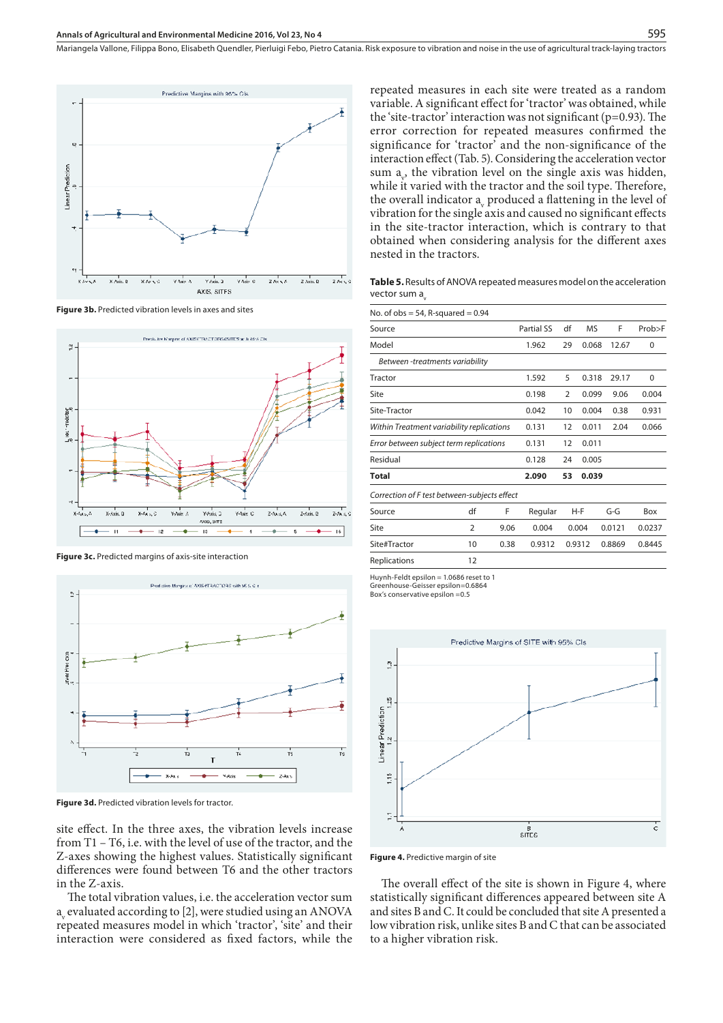

**Figure 3b.** Predicted vibration levels in axes and sites



**Figure 3c.** Predicted margins of axis-site interaction



**Figure 3d.** Predicted vibration levels for tractor.

site effect. In the three axes, the vibration levels increase from T1 – T6, i.e. with the level of use of the tractor, and the Z-axes showing the highest values. Statistically significant differences were found between T6 and the other tractors in the Z-axis.

The total vibration values, i.e. the acceleration vector sum  $a_{\rm v}$  evaluated according to [2], were studied using an ANOVA repeated measures model in which 'tractor', 'site' and their interaction were considered as fixed factors, while the

repeated measures in each site were treated as a random variable. A significant effect for 'tractor' was obtained, while the 'site-tractor' interaction was not significant ( $p=0.93$ ). The error correction for repeated measures confirmed the significance for 'tractor' and the non-significance of the interaction effect (Tab. 5). Considering the acceleration vector sum  $a_{\nu}$ , the vibration level on the single axis was hidden, while it varied with the tractor and the soil type. Therefore, the overall indicator  $a_v$  produced a flattening in the level of vibration for the single axis and caused no significant effects in the site-tractor interaction, which is contrary to that obtained when considering analysis for the different axes nested in the tractors.

**Table 5.** Results of ANOVA repeated measures model on the acceleration vector sum a

| No. of $obs = 54$ , R-squared $= 0.94$       |                   |                |           |       |        |        |        |
|----------------------------------------------|-------------------|----------------|-----------|-------|--------|--------|--------|
| Source                                       | <b>Partial SS</b> | df             | <b>MS</b> | F     | Prob>F |        |        |
| Model                                        | 1.962             | 29             | 0.068     | 12.67 | 0      |        |        |
| Between -treatments variability              |                   |                |           |       |        |        |        |
| Tractor                                      |                   |                | 1.592     | 5     | 0.318  | 29.17  | 0      |
| Site                                         | 0.198             | $\overline{2}$ | 0.099     | 9.06  | 0.004  |        |        |
| Site-Tractor                                 | 0.042             | 10             | 0.004     | 0.38  | 0.931  |        |        |
| Within Treatment variability replications    | 0.131             | 12             | 0.011     | 2.04  | 0.066  |        |        |
| Error between subject term replications      |                   |                | 0.131     | 12    | 0.011  |        |        |
| Residual                                     |                   |                | 0.128     | 24    | 0.005  |        |        |
| Total                                        |                   |                | 2.090     | 53    | 0.039  |        |        |
| Correction of F test between-subjects effect |                   |                |           |       |        |        |        |
| Source                                       | df                | F              | Regular   |       | $H-F$  | $G-G$  | Box    |
| Site                                         | $\overline{2}$    | 9.06           | 0.004     |       | 0.004  | 0.0121 | 0.0237 |
| Site#Tractor                                 | 10                | 0.38           | 0.9312    |       | 0.9312 | 0.8869 | 0.8445 |
| Replications                                 | 12                |                |           |       |        |        |        |

Huynh-Feldt epsilon = 1.0686 reset to 1 Greenhouse-Geisser epsilon=0.6864 Box's conservative epsilon =0.5



**Figure 4.** Predictive margin of site

The overall effect of the site is shown in Figure 4, where statistically significant differences appeared between site A and sites B and C. It could be concluded that site A presented a low vibration risk, unlike sites B and C that can be associated to a higher vibration risk.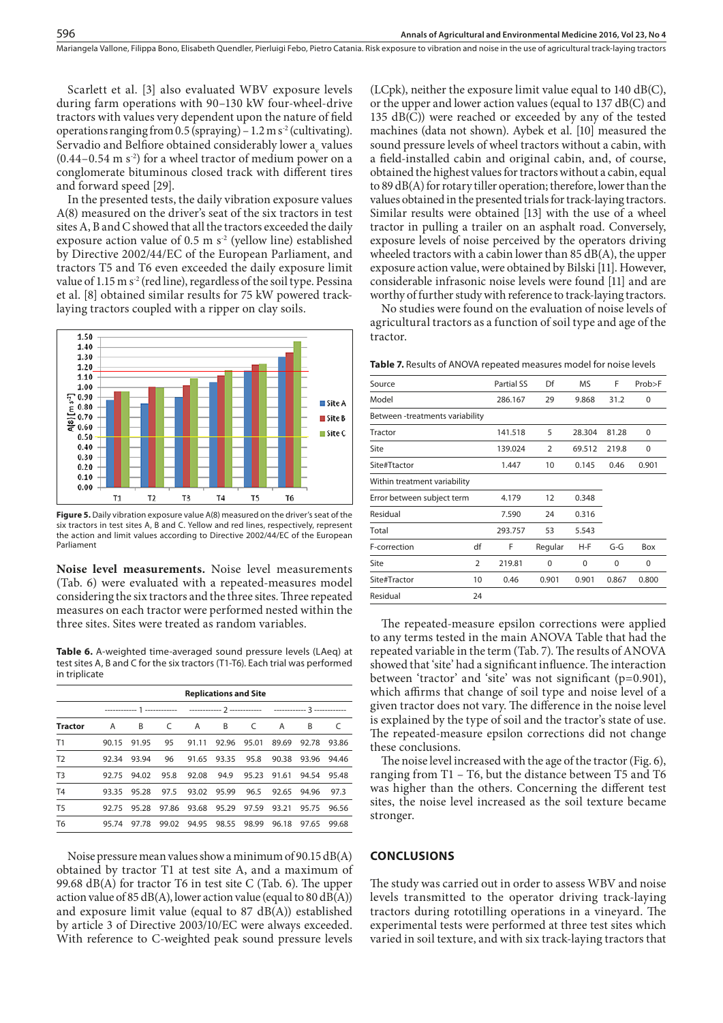Scarlett et al. [3] also evaluated WBV exposure levels during farm operations with 90–130 kW four-wheel-drive tractors with values very dependent upon the nature of field operations ranging from 0.5 (spraying) –  $1.2$  m s<sup>-2</sup> (cultivating). Servadio and Belfiore obtained considerably lower  $a_{\rm v}$  values  $(0.44-0.54 \text{ m s}^2)$  for a wheel tractor of medium power on a conglomerate bituminous closed track with different tires and forward speed [29].

596

In the presented tests, the daily vibration exposure values A(8) measured on the driver's seat of the six tractors in test sites A, B and C showed that all the tractors exceeded the daily exposure action value of 0.5 m  $s^2$  (yellow line) established by Directive 2002/44/EC of the European Parliament, and tractors T5 and T6 even exceeded the daily exposure limit value of 1.15 m s<sup>2</sup> (red line), regardless of the soil type. Pessina et al. [8] obtained similar results for 75 kW powered tracklaying tractors coupled with a ripper on clay soils.



**Figure 5.** Daily vibration exposure value A(8) measured on the driver's seat of the six tractors in test sites A, B and C. Yellow and red lines, respectively, represent the action and limit values according to Directive 2002/44/EC of the European Parliament

**Noise level measurements.** Noise level measurements (Tab. 6) were evaluated with a repeated-measures model considering the six tractors and the three sites. Three repeated measures on each tractor were performed nested within the three sites. Sites were treated as random variables.

**Table 6.** A-weighted time-averaged sound pressure levels (LAeq) at test sites A, B and C for the six tractors (T1-T6). Each trial was performed in triplicate

|                | <b>Replications and Site</b> |       |       |       |                |                |       |       |       |
|----------------|------------------------------|-------|-------|-------|----------------|----------------|-------|-------|-------|
|                | -------------                |       |       |       |                |                |       |       |       |
| <b>Tractor</b> | A                            | B     | C     | A     | $\overline{B}$ | <sup>-</sup> C | A     | B     |       |
| T1             | 90.15                        | 91.95 | 95    | 91.11 | 92.96          | 95.01          | 89.69 | 92.78 | 93.86 |
| T <sub>2</sub> | 92.34                        | 93.94 | 96    | 91.65 | 93.35          | 95.8           | 90.38 | 93.96 | 94.46 |
| T <sub>3</sub> | 92.75                        | 94.02 | 95.8  | 92.08 | 94.9           | 95.23          | 91.61 | 94.54 | 95.48 |
| T <sub>4</sub> | 93.35                        | 95.28 | 97.5  | 93.02 | 95.99          | 96.5           | 92.65 | 94.96 | 97.3  |
| T <sub>5</sub> | 92.75                        | 95.28 | 97.86 | 93.68 | 95.29          | 97.59          | 93.21 | 95.75 | 96.56 |
| T <sub>6</sub> | 95.74                        | 97.78 | 99.02 | 94.95 | 98.55          | 98.99          | 96.18 | 97.65 | 99.68 |

Noise pressure mean values show a minimum of 90.15 dB(A) obtained by tractor T1 at test site A, and a maximum of 99.68 dB(A) for tractor T6 in test site C (Tab. 6). The upper action value of 85 dB(A), lower action value (equal to 80 dB(A)) and exposure limit value (equal to 87 dB(A)) established by article 3 of Directive 2003/10/EC were always exceeded. With reference to C-weighted peak sound pressure levels

(LCpk), neither the exposure limit value equal to 140 dB(C), or the upper and lower action values (equal to 137 dB(C) and 135 dB(C)) were reached or exceeded by any of the tested machines (data not shown). Aybek et al. [10] measured the sound pressure levels of wheel tractors without a cabin, with a field-installed cabin and original cabin, and, of course, obtained the highest values for tractors without a cabin, equal to 89 dB(A) for rotary tiller operation; therefore, lower than the values obtained in the presented trials for track-laying tractors. Similar results were obtained [13] with the use of a wheel tractor in pulling a trailer on an asphalt road. Conversely, exposure levels of noise perceived by the operators driving wheeled tractors with a cabin lower than 85 dB(A), the upper exposure action value, were obtained by Bilski [11]. However, considerable infrasonic noise levels were found [11] and are worthy of further study with reference to track-laying tractors.

No studies were found on the evaluation of noise levels of agricultural tractors as a function of soil type and age of the tractor.

**Table 7.** Results of ANOVA repeated measures model for noise levels

|                                 | <b>Partial SS</b> | Df             | MS     | F     | Prob>F   |
|---------------------------------|-------------------|----------------|--------|-------|----------|
|                                 | 286.167           | 29             | 9.868  | 31.2  | 0        |
| Between -treatments variability |                   |                |        |       |          |
|                                 | 141.518           | 5              | 28.304 | 81.28 | 0        |
|                                 | 139.024           | $\overline{2}$ | 69.512 | 219.8 | $\Omega$ |
|                                 | 1.447             | 10             | 0.145  | 0.46  | 0.901    |
| Within treatment variability    |                   |                |        |       |          |
| Error between subject term      |                   |                | 0.348  |       |          |
|                                 | 7.590             | 24             | 0.316  |       |          |
|                                 | 293.757           | 53             | 5.543  |       |          |
| df                              | F                 | Regular        | H-F    | $G-G$ | Box      |
| $\overline{2}$                  | 219.81            | $\Omega$       | 0      | 0     | 0        |
| 10                              | 0.46              | 0.901          | 0.901  | 0.867 | 0.800    |
| 24                              |                   |                |        |       |          |
|                                 |                   | 4.179          | 12     |       |          |

The repeated-measure epsilon corrections were applied to any terms tested in the main ANOVA Table that had the repeated variable in the term (Tab. 7). The results of ANOVA showed that 'site' had a significant influence. The interaction between 'tractor' and 'site' was not significant (p=0.901), which affirms that change of soil type and noise level of a given tractor does not vary. The difference in the noise level is explained by the type of soil and the tractor's state of use. The repeated-measure epsilon corrections did not change these conclusions.

The noise level increased with the age of the tractor (Fig. 6), ranging from T1 – T6, but the distance between T5 and T6 was higher than the others. Concerning the different test sites, the noise level increased as the soil texture became stronger.

#### **CONCLUSIONS**

The study was carried out in order to assess WBV and noise levels transmitted to the operator driving track-laying tractors during rototilling operations in a vineyard. The experimental tests were performed at three test sites which varied in soil texture, and with six track-laying tractors that